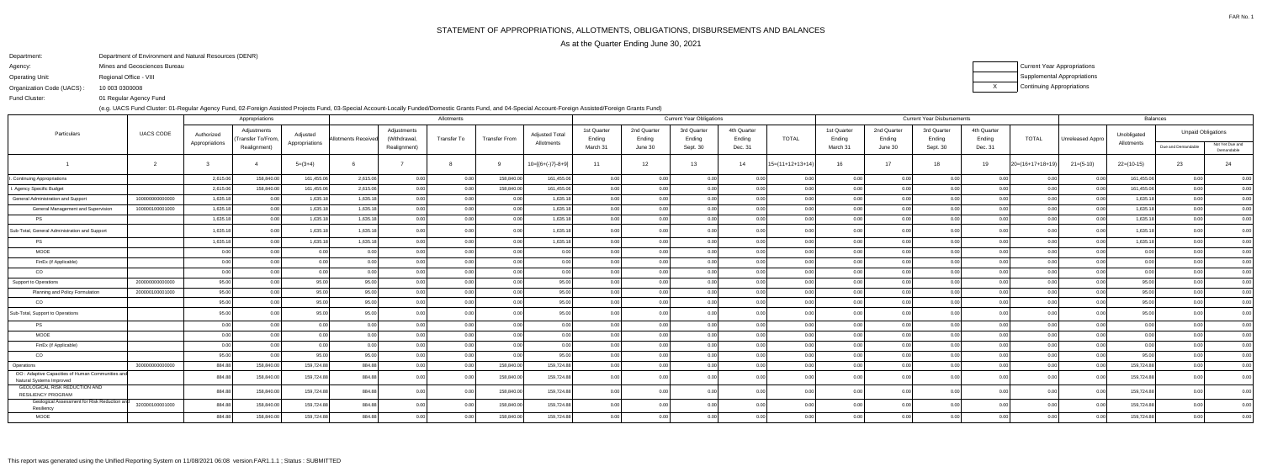FAR No. 1

Department:Department of Environment and Natural Resources (DENR)

Agency:Mines and Geosciences Bureau

Operating Unit:Regional Office - VIII

Organization Code (UACS) :10 003 0300008 XCurrent Year Appropriations Supplemental AppropriationsContinuing Appropriations

 01 Regular Agency FundFund Cluster:

(e.g. UACS Fund Cluster: 01-Regular Agency Fund, 02-Foreign Assisted Projects Fund, 03-Special Account-Locally Funded/Domestic Grants Fund, and 04-Special Account-Foreign Assisted/Foreign Grants Fund)

|                                                                              |                  |                | Appropriations                    |                |                    |                             | Allotments  |                      |                       | <b>Current Year Obligations</b> |                       |                       |                       |                    |                       |                       | <b>Current Year Disbursements</b> | <b>Balances</b>       |                      |                  |                           |                    |                               |  |
|------------------------------------------------------------------------------|------------------|----------------|-----------------------------------|----------------|--------------------|-----------------------------|-------------|----------------------|-----------------------|---------------------------------|-----------------------|-----------------------|-----------------------|--------------------|-----------------------|-----------------------|-----------------------------------|-----------------------|----------------------|------------------|---------------------------|--------------------|-------------------------------|--|
| Particulars                                                                  | <b>UACS CODE</b> | Authorized     | Adjustments<br>(Transfer To/From, | Adjusted       | Allotments Receive | Adjustments<br>(Withdrawal, | Transfer To | <b>Transfer From</b> | <b>Adjusted Total</b> | 1st Quarter<br>Ending           | 2nd Quarter<br>Ending | 3rd Quarter<br>Ending | 4th Quarter<br>Ending | <b>TOTAL</b>       | 1st Quarter<br>Ending | 2nd Quarter<br>Ending | 3rd Quarter<br>Ending             | 4th Quarter<br>Ending | <b>TOTAL</b>         | Unreleased Appro | Unobligated<br>Allotments |                    | <b>Unpaid Obligations</b>     |  |
|                                                                              |                  | Appropriations | Realignment)                      | Appropriations |                    | Realignment)                |             |                      | Allotments            | March 31                        | June 30               | Sept. 30              | Dec. 31               |                    | March 31              | June 30               | Sept. 30                          | Dec. 31               |                      |                  |                           | Due and Demandable | Not Yet Due and<br>Demandable |  |
|                                                                              | $\overline{2}$   |                |                                   | $5=(3+4)$      |                    |                             |             |                      | $10=[{6+(-)}7-8+9]$   | 11                              | 12                    | 13                    | 14                    | $15=(11+12+13+14)$ | 16                    | 17                    | 18                                | 19                    | $ 20=(16+17+18+19) $ | $21 = (5-10)$    | $22=(10-15)$              | 23                 | 24                            |  |
| I. Continuing Appropriations                                                 |                  | 2,615.06       | 158,840.00                        | 161,455.06     | 2,615.06           | 0.00                        | 0.00        | 158,840.00           | 161,455.06            | 0.00                            | 0.00                  | 0.00                  | 0 O                   | 0.00               | 0.00                  | 0.00                  | 0.00                              | 0.00                  | 0.00                 | 0.00             | 161,455.06                | 0.00               | 0.00                          |  |
| . Agency Specific Budget                                                     |                  | 2,615.06       | 158,840.00                        | 161,455.06     | 2,615.06           | 0.00                        | 0.00        | 158,840.00           | 161,455.06            | 0.00                            | 0.00                  | 0.00                  | 0.00                  | 0.00               | 0.00                  | 0.00                  | 0.00                              | 0.00                  | 0.00                 | 0.00             | 161,455.06                | 0.00               | 0.00                          |  |
| General Administration and Support                                           | 100000000000000  | 1,635.18       | 0.00                              | 1,635.18       | 1,635.18           | 0.00                        |             | 0.00                 | 1,635.18              | 0.00                            | 0.00                  | 0.00                  |                       | 0.00               |                       | 0.001                 | 0.00                              |                       | 0.00                 | 0.0              | 1,635.18                  |                    | 0.00                          |  |
| General Management and Supervision                                           | 100000100001000  | 1,635.18       |                                   | 1,635.18       | 1,635.18           | 0.00                        |             | 0.00                 | 1,635.18              | 0.00                            | 0.00                  | 0.00                  |                       | 0.00               |                       | 0.00                  | 0.00                              | 0.00                  | 0.00                 | 0 U              | 1,635.18                  |                    | 0.00                          |  |
| <b>PS</b>                                                                    |                  | 1,635.18       | 0.00                              | 1,635.18       | 1,635.18           | 0.00                        | 0.00        | 0.00                 | 1,635.18              | 0.00                            | 0.00 <sub>1</sub>     | 0.00                  | 0.00                  | 0.00               | 0.00                  | 0.00                  | 0.00                              | 0.00                  | 0.00                 | 0.00             | 1,635.18                  | 0.00               | 0.00                          |  |
| Sub-Total, General Administration and Support                                |                  | 1,635.18       |                                   | 1,635.18       | 1,635.18           | 0.00                        |             | 0.00                 | 1,635.18              | 0.00                            | n no                  | 0.00                  |                       | 0.00               |                       | n nr                  |                                   |                       | 0 <sub>0</sub>       | 0 Q              | 1,635.18                  |                    | 0.00                          |  |
| <b>PS</b>                                                                    |                  | 1,635.18       | 0.00                              | 1,635.18       | 1,635.18           | 0.00                        | 0.00        | 0.00                 | 1,635.18              | 0.00                            | 0.00                  | 0.00                  | 0.00                  | 0.00               | n nn                  | 0.00                  | 0.00                              | 0.00                  | 0.00                 | 0.00             | 1,635.18                  |                    | 0.00                          |  |
| <b>MOOE</b>                                                                  |                  | 0.00           | 0.001                             | 0.00           | 0.00               | 0.00                        | 0.00        | 0.00                 | 0.00 <sub>1</sub>     | 0.00                            | 0.00                  | 0.00                  | 0.00                  | 0.00               | n nr                  | 0.00                  | 0.00                              | 0.00                  | 0.00                 | 0.00             | 0.00                      | ი იი               | 0.00                          |  |
| FinEx (if Applicable)                                                        |                  | 0.00           |                                   | 0.00           | 0.00               | 0.00                        |             | 0.00                 | 0.00                  | 0.00                            | 0.00                  | 0.00                  |                       | 0.00               |                       | 0.00                  | 0.00                              | 0.00                  | 0.00                 | 0.00             | 0.00                      |                    | 0.00                          |  |
| CO                                                                           |                  | 0.00           | 0.00                              | 0.00           | 0.00               | 0.00                        | 0.00        | 0.00                 | 0.00                  | 0.00                            | 0.00                  | 0.00                  | <u>ሰሰ</u>             | 0.00               | 0.00                  | 0.00                  | 0.00                              | 0.00                  | 0.00                 | 0.00             | 0.00                      |                    | 0.00                          |  |
| Support to Operations                                                        | 200000000000000  | 95.00          | 0.00                              | 95.00          | 95.00              | 0.00                        |             | 0.00                 | 95.00                 | 0.00                            | 0.00                  | 0.00                  |                       | 0.00               |                       | 0.00                  | 0.00                              | 0.00                  | 0 <sub>0</sub>       |                  | 95.00                     |                    | 0.00                          |  |
| Planning and Policy Formulation                                              | 200000100001000  | 95.00          | 0.00                              | 95.00          | 95.00              | 0.00                        |             | 0.00                 | 95.00                 | 0.00                            | 0.001                 | 0.00                  | n n                   | 0.00               | n nn                  | 0.00                  | 0.00                              | 0.00                  | 0.00                 | 0.00             | 95.00                     |                    | 0.00                          |  |
| CO                                                                           |                  | 95.00          | 0.001                             | 95.00          | 95.00              | 0.00                        | 0.00        | 0.00                 | 95.00                 | 0.00                            | 0.00                  | 0.00                  | 0.OO                  | 0.00               | n nn                  | 0.00                  | 0.00                              | 0.00                  | 0.00                 | 0.00             | 95.00                     |                    | 0.00                          |  |
| Sub-Total, Support to Operations                                             |                  | 95.00          |                                   | 95.00          | 95.00              | 0.00                        |             | 0.00                 | 95.00                 | 0.00                            |                       | 0.00                  |                       | 0.00               |                       | በ በበ                  |                                   | 0 <sub>0</sub>        | 0 <sub>0</sub>       | 0 U              | 95.00                     |                    | 0.00                          |  |
| <b>PS</b>                                                                    |                  | 0.00           | 0.00                              | 0.00           | 0.00               | 0.00                        | 0.00        | 0.00                 | 0.00                  | 0.00                            | 0.00                  | 0.00                  | 0.00                  | 0.00               | 0.00                  | 0.00                  | 0.00                              | 0.00                  | 0.00                 | 0.00             | 0.00                      |                    | 0.00                          |  |
| MOOE                                                                         |                  | 0.00           |                                   | 0.00           | 0.00               | 0.001                       |             | 0.00                 | 0.00                  | 0.00                            | 0.00                  | 0.00                  | 0 <sub>0</sub>        | 0.00               |                       | 0.00                  | 0.00                              | 0.00                  | 0.00                 | 0.00             | 0 <sub>0</sub>            |                    | 0.00                          |  |
| FinEx (if Applicable)                                                        |                  | 0.00           | 0.00                              | 0.00           | 0.00               | 0.00                        | 0.00        | 0.00                 | 0.00                  | 0.00                            | 0.00                  | 0.00                  | 0 <sub>0</sub>        | 0.00               | 0.00                  | 0.00                  | 0.00                              | 0.00                  | 0.00                 | 0.00             | 0.00                      |                    | 0.00                          |  |
| CO                                                                           |                  | 95.00          | 0.00                              | 95.00          | 95.00              | 0.00                        | 0.00        | 0.00                 | 95.00                 | 0.00                            | 0.00                  | 0.00                  |                       | 0.00               |                       | 0.00                  |                                   | 0.00                  | 0.00                 | 0.00             | 95.00                     |                    | 0.00                          |  |
| Operations                                                                   | 300000000000000  | 884.88         | 158,840.00                        | 159,724.88     | 884.88             |                             |             | 158,840.00           | 159,724.88            | 0.00                            | n no                  | 0.00                  |                       | 0 <sub>0</sub>     |                       | በ በበ                  |                                   |                       |                      | 0 Q              | 159,724.88                |                    | 0.00                          |  |
| OO: Adaptive Capacities of Human Communities and<br>Natural Systems Improved |                  | 884.88         | 158,840.00                        | 159,724.88     | 884.88             | 0.00                        |             | 158,840.00           | 159,724.88            | 0.00                            |                       |                       |                       |                    |                       |                       |                                   |                       |                      |                  | 159,724.88                |                    | 0.00                          |  |
| GEOLOGICAL RISK REDUCTION AND<br><b>RESILIENCY PROGRAM</b>                   |                  | 884.88         | 158,840.00                        | 159,724.88     | 884.88             | 0.00                        | 0.00        | 158,840.00           | 159,724.88            | 0.00                            | 0.00                  | 0.00                  |                       | 0.00               |                       | 0.00                  | 0.00                              | 0.00                  | 0.00                 | 0.00             | 159,724.88                |                    | 0.00                          |  |
| Geological Assessment for Risk Reduction an<br>Resiliency                    | 320300100001000  | 884.88         | 158,840.00                        | 159,724.88     | 884.88             |                             | 0.00        | 158,840.00           | 159,724.88            | 0.00                            |                       |                       |                       |                    |                       |                       |                                   |                       |                      | 0.0              | 159,724.88                |                    | 0.00                          |  |
| MOOE                                                                         |                  | 884.88         | 158,840.00                        | 159,724.88     | 884.88             |                             |             | 158,840.00           | 159,724.88            | 0.00                            | 0.00                  | 0.001                 |                       | 0.00               |                       |                       |                                   |                       |                      |                  | 159,724.88                |                    |                               |  |
|                                                                              |                  |                |                                   |                |                    |                             |             |                      |                       |                                 |                       |                       |                       |                    |                       |                       |                                   |                       |                      |                  |                           |                    |                               |  |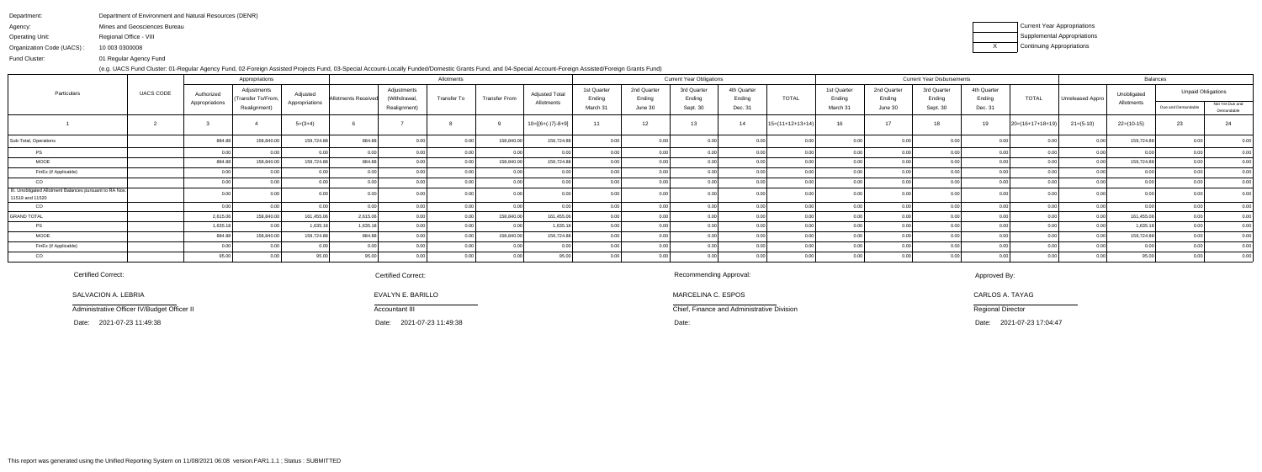| Department of Environment and Natural Resources (DENR) |
|--------------------------------------------------------|
| Mines and Geosciences Bureau                           |
| Regional Office - VIII                                 |
| 10 003 0300008                                         |
|                                                        |

Fund Cluster:01 Regular Agency Fund

(e.g. UACS Fund Cluster: 01-Regular Agency Fund, 02-Foreign Assisted Projects Fund, 03-Special Account-Locally Funded/Domestic Grants Fund, and 04-Special Account-Foreign Assisted/Foreign Grants Fund)

| Current Year Appropriations        |
|------------------------------------|
| <b>Supplemental Appropriations</b> |
| Continuing Appropriations          |

|                                                                            | UACS CODE |                              | Appropriations                                   |                            | Allotments                 |                                             |             |                      |                                     |                                   |                                  | <b>Current Year Obligations</b>   |                                  |                    | <b>Current Year Disbursements</b> |                                  |                                   |                                  |                    |                         | Balances                  |                                                 |                               |  |
|----------------------------------------------------------------------------|-----------|------------------------------|--------------------------------------------------|----------------------------|----------------------------|---------------------------------------------|-------------|----------------------|-------------------------------------|-----------------------------------|----------------------------------|-----------------------------------|----------------------------------|--------------------|-----------------------------------|----------------------------------|-----------------------------------|----------------------------------|--------------------|-------------------------|---------------------------|-------------------------------------------------|-------------------------------|--|
| Particulars                                                                |           | Authorized<br>Appropriations | Adjustments<br>Transfer To/From,<br>Realignment) | Adjusted<br>Appropriations | <b>Allotments Received</b> | Adjustments<br>(Withdrawal,<br>Realignment) | Transfer To | <b>Transfer From</b> | <b>Adjusted Total</b><br>Allotments | 1st Quarter<br>Ending<br>March 31 | 2nd Quarter<br>Ending<br>June 30 | 3rd Quarter<br>Ending<br>Sept. 30 | 4th Quarter<br>Ending<br>Dec. 31 | <b>TOTAL</b>       | 1st Quarter<br>Ending<br>March 31 | 2nd Quarter<br>Ending<br>June 30 | 3rd Quarter<br>Ending<br>Sept. 30 | 4th Quarter<br>Ending<br>Dec. 31 | <b>TOTAL</b>       | <b>Unreleased Appro</b> | Unobligated<br>Allotments | <b>Unpaid Obligations</b><br>Due and Demandable | Not Yet Due and<br>Demandable |  |
|                                                                            |           |                              |                                                  | $5=(3+4)$                  |                            |                                             |             |                      | $10=[{6+(-)}7{-8+9}]$               | 11                                | 12                               | 13                                | 14                               | $15=(11+12+13+14)$ | 16                                | 17                               | 18                                | 19                               | $20=(16+17+18+19)$ | $21 = (5-10)$           | $22=(10-15)$              | 23                                              |                               |  |
| Sub-Total, Operations                                                      |           | 884.88                       | 158,840.0                                        | 159,724.88                 | 884.88                     |                                             | 0.00        | 158,840.00           | 159,724.88                          | 0.001                             |                                  |                                   |                                  |                    |                                   |                                  |                                   |                                  |                    |                         | 159,724.88                |                                                 |                               |  |
| PS                                                                         |           |                              |                                                  |                            |                            |                                             |             |                      |                                     | 0.00                              |                                  |                                   |                                  |                    |                                   |                                  |                                   |                                  |                    |                         |                           |                                                 |                               |  |
| <b>MOOE</b>                                                                |           | 884.88                       | 158,840.00                                       | 159,724.88                 | 884.88                     |                                             |             | 158,840.00           | 159,724.88                          | 0.00                              |                                  |                                   |                                  |                    |                                   |                                  |                                   |                                  |                    |                         | 159,724.88                |                                                 | 0.00                          |  |
| FinEx (if Applicable)                                                      |           |                              |                                                  |                            | 0.00                       |                                             |             | 0.00                 |                                     | 0.00                              |                                  |                                   |                                  |                    |                                   |                                  |                                   |                                  |                    |                         |                           |                                                 | 0.00                          |  |
| CO                                                                         |           |                              |                                                  |                            |                            |                                             |             |                      |                                     | 0.00                              |                                  |                                   |                                  |                    |                                   |                                  |                                   |                                  |                    |                         |                           |                                                 | 0.00                          |  |
| III. Unobligated Allotment Balances pursuant to RA Nos.<br>11519 and 11520 |           |                              |                                                  |                            |                            |                                             |             |                      |                                     |                                   |                                  |                                   |                                  |                    |                                   |                                  |                                   |                                  |                    |                         |                           |                                                 |                               |  |
| CO                                                                         |           |                              |                                                  |                            | 0 <sup>0<sup>c</sup></sup> |                                             |             | 0 <sup>0</sup>       |                                     | ი იი                              |                                  |                                   |                                  |                    |                                   |                                  |                                   |                                  |                    |                         |                           |                                                 | 0.00                          |  |
| GRAND TOTAL                                                                |           | 2,615.06                     | 158,840.0                                        | 161,455.06                 | 2,615.06                   |                                             |             | 158,840.00           | 161,455.06                          | 0.00                              |                                  |                                   |                                  |                    |                                   |                                  |                                   |                                  |                    |                         | 161,455.06                |                                                 | 0.00                          |  |
| PS                                                                         |           | 1,635.18                     |                                                  | 1,635.18                   | 1,635.18                   |                                             |             | $\cap$               | 1.635.1                             | 0.001                             |                                  |                                   |                                  |                    |                                   |                                  |                                   |                                  |                    |                         | 1,635.18                  |                                                 | 0.00                          |  |
| <b>MOOE</b>                                                                |           | 884.88                       | 158,840.0                                        | 159,724.88                 | 884.88                     |                                             |             | 158,840.00           | 159,724.88                          | 0.00                              |                                  |                                   |                                  |                    |                                   |                                  |                                   |                                  |                    |                         | 159,724.88                |                                                 | 0.00                          |  |
| FinEx (if Applicable)                                                      |           |                              |                                                  |                            |                            |                                             |             |                      |                                     |                                   |                                  |                                   |                                  |                    |                                   |                                  |                                   |                                  |                    |                         |                           |                                                 | 0.00                          |  |
| CO                                                                         |           |                              |                                                  | 95.00                      | 95.00                      |                                             |             |                      |                                     |                                   |                                  |                                   |                                  |                    |                                   |                                  |                                   |                                  |                    |                         | 95.00                     |                                                 | $\frac{1}{0.00}$              |  |

SALVACION A. LEBRIA

Administrative Officer IV/Budget Officer II

Date: 2021-07-23 11:49:38

Certified Correct:

Chief, Finance and Administrative Division

MARCELINA C. ESPOS

Recommending Approval:

2021-07-23 17:04:47

## Approved By:

CARLOS A. TAYAG

Regional Director

### Certified Correct:

 Date: Date: Date:2021-07-23 11:49:38

# EVALYN E. BARILLO

Accountant III